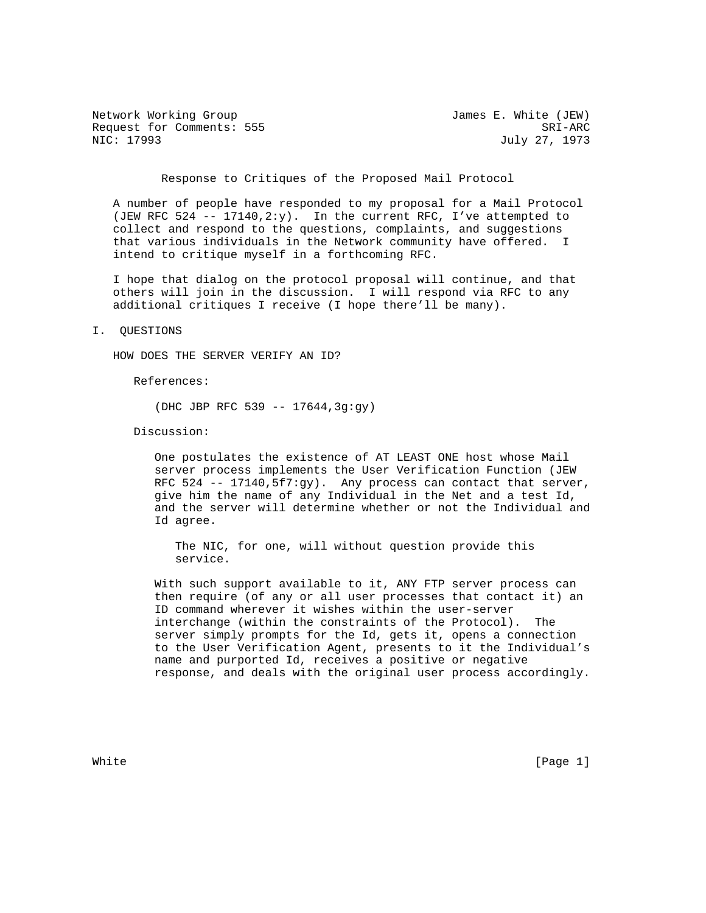Network Working Group James E. White (JEW) Request for Comments: 555 SRI-ARC<br>NIC: 17993 July 27, 1973

July 27, 1973

Response to Critiques of the Proposed Mail Protocol

 A number of people have responded to my proposal for a Mail Protocol (JEW RFC 524 -- 17140,2:y). In the current RFC, I've attempted to collect and respond to the questions, complaints, and suggestions that various individuals in the Network community have offered. I intend to critique myself in a forthcoming RFC.

 I hope that dialog on the protocol proposal will continue, and that others will join in the discussion. I will respond via RFC to any additional critiques I receive (I hope there'll be many).

#### I. QUESTIONS

HOW DOES THE SERVER VERIFY AN ID?

References:

(DHC JBP RFC 539 -- 17644,3g:gy)

Discussion:

 One postulates the existence of AT LEAST ONE host whose Mail server process implements the User Verification Function (JEW RFC 524 -- 17140,  $5f7:gy$ . Any process can contact that server, give him the name of any Individual in the Net and a test Id, and the server will determine whether or not the Individual and Id agree.

 The NIC, for one, will without question provide this service.

 With such support available to it, ANY FTP server process can then require (of any or all user processes that contact it) an ID command wherever it wishes within the user-server interchange (within the constraints of the Protocol). The server simply prompts for the Id, gets it, opens a connection to the User Verification Agent, presents to it the Individual's name and purported Id, receives a positive or negative response, and deals with the original user process accordingly.

White  $[Page 1]$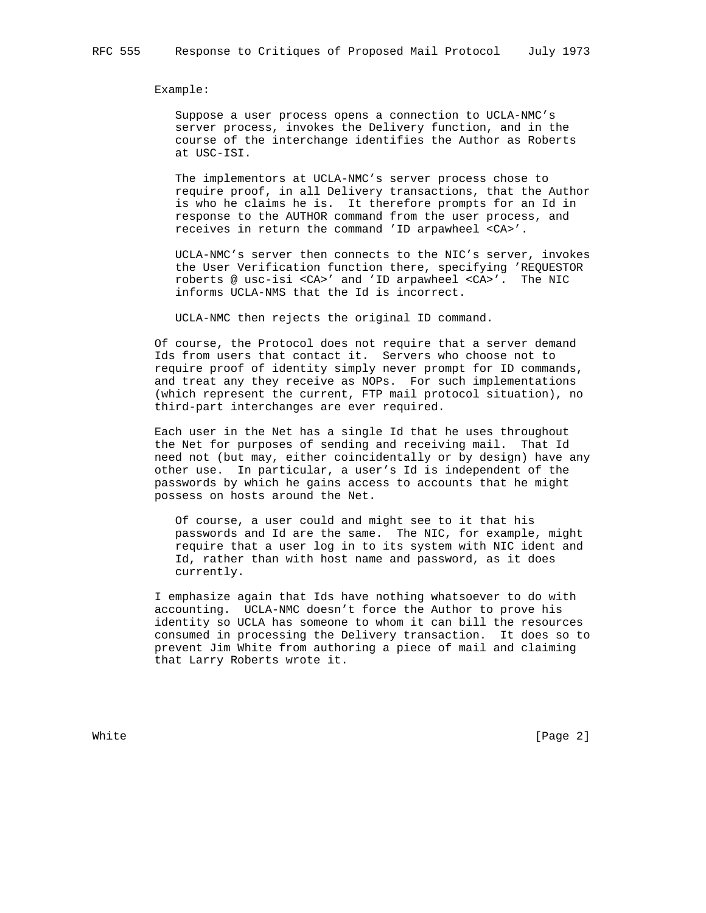Example:

 Suppose a user process opens a connection to UCLA-NMC's server process, invokes the Delivery function, and in the course of the interchange identifies the Author as Roberts at USC-ISI.

 The implementors at UCLA-NMC's server process chose to require proof, in all Delivery transactions, that the Author is who he claims he is. It therefore prompts for an Id in response to the AUTHOR command from the user process, and receives in return the command 'ID arpawheel <CA>'.

 UCLA-NMC's server then connects to the NIC's server, invokes the User Verification function there, specifying 'REQUESTOR roberts @ usc-isi <CA>' and 'ID arpawheel <CA>'. The NIC informs UCLA-NMS that the Id is incorrect.

UCLA-NMC then rejects the original ID command.

 Of course, the Protocol does not require that a server demand Ids from users that contact it. Servers who choose not to require proof of identity simply never prompt for ID commands, and treat any they receive as NOPs. For such implementations (which represent the current, FTP mail protocol situation), no third-part interchanges are ever required.

 Each user in the Net has a single Id that he uses throughout the Net for purposes of sending and receiving mail. That Id need not (but may, either coincidentally or by design) have any other use. In particular, a user's Id is independent of the passwords by which he gains access to accounts that he might possess on hosts around the Net.

 Of course, a user could and might see to it that his passwords and Id are the same. The NIC, for example, might require that a user log in to its system with NIC ident and Id, rather than with host name and password, as it does currently.

 I emphasize again that Ids have nothing whatsoever to do with accounting. UCLA-NMC doesn't force the Author to prove his identity so UCLA has someone to whom it can bill the resources consumed in processing the Delivery transaction. It does so to prevent Jim White from authoring a piece of mail and claiming that Larry Roberts wrote it.

White **Example 2** and the contract of the contract of the contract of  $[Page\ 2]$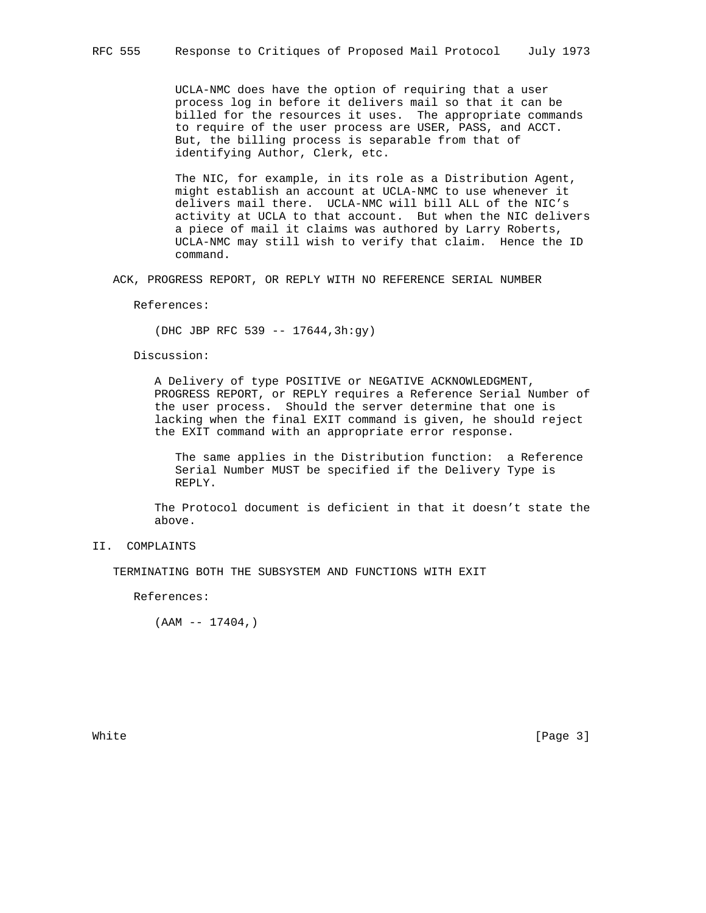UCLA-NMC does have the option of requiring that a user process log in before it delivers mail so that it can be billed for the resources it uses. The appropriate commands to require of the user process are USER, PASS, and ACCT. But, the billing process is separable from that of identifying Author, Clerk, etc.

 The NIC, for example, in its role as a Distribution Agent, might establish an account at UCLA-NMC to use whenever it delivers mail there. UCLA-NMC will bill ALL of the NIC's activity at UCLA to that account. But when the NIC delivers a piece of mail it claims was authored by Larry Roberts, UCLA-NMC may still wish to verify that claim. Hence the ID command.

ACK, PROGRESS REPORT, OR REPLY WITH NO REFERENCE SERIAL NUMBER

References:

(DHC JBP RFC 539 -- 17644,3h:gy)

Discussion:

 A Delivery of type POSITIVE or NEGATIVE ACKNOWLEDGMENT, PROGRESS REPORT, or REPLY requires a Reference Serial Number of the user process. Should the server determine that one is lacking when the final EXIT command is given, he should reject the EXIT command with an appropriate error response.

 The same applies in the Distribution function: a Reference Serial Number MUST be specified if the Delivery Type is REPLY.

 The Protocol document is deficient in that it doesn't state the above.

# II. COMPLAINTS

TERMINATING BOTH THE SUBSYSTEM AND FUNCTIONS WITH EXIT

References:

(AAM -- 17404,)

White **Example 2** (Page 3)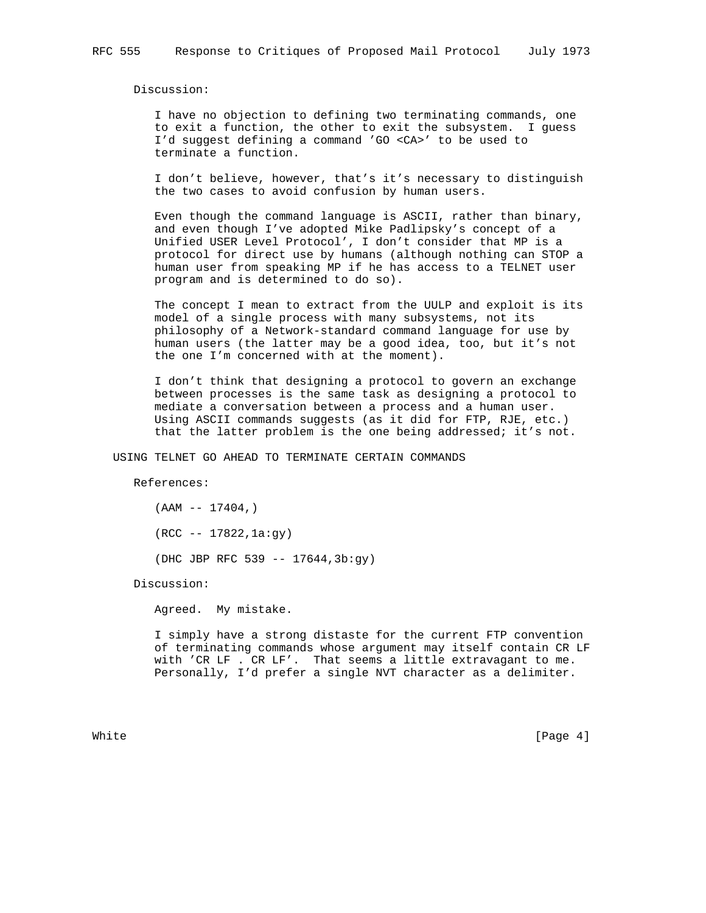Discussion:

 I have no objection to defining two terminating commands, one to exit a function, the other to exit the subsystem. I guess I'd suggest defining a command 'GO <CA>' to be used to terminate a function.

 I don't believe, however, that's it's necessary to distinguish the two cases to avoid confusion by human users.

 Even though the command language is ASCII, rather than binary, and even though I've adopted Mike Padlipsky's concept of a Unified USER Level Protocol', I don't consider that MP is a protocol for direct use by humans (although nothing can STOP a human user from speaking MP if he has access to a TELNET user program and is determined to do so).

 The concept I mean to extract from the UULP and exploit is its model of a single process with many subsystems, not its philosophy of a Network-standard command language for use by human users (the latter may be a good idea, too, but it's not the one I'm concerned with at the moment).

 I don't think that designing a protocol to govern an exchange between processes is the same task as designing a protocol to mediate a conversation between a process and a human user. Using ASCII commands suggests (as it did for FTP, RJE, etc.) that the latter problem is the one being addressed; it's not.

USING TELNET GO AHEAD TO TERMINATE CERTAIN COMMANDS

References:

 $(AAM -- 17404, )$  (RCC -- 17822,1a:gy) (DHC JBP RFC 539 -- 17644,3b:gy)

Discussion:

Agreed. My mistake.

 I simply have a strong distaste for the current FTP convention of terminating commands whose argument may itself contain CR LF with 'CR LF . CR LF'. That seems a little extravagant to me. Personally, I'd prefer a single NVT character as a delimiter.

White  $[Page 4]$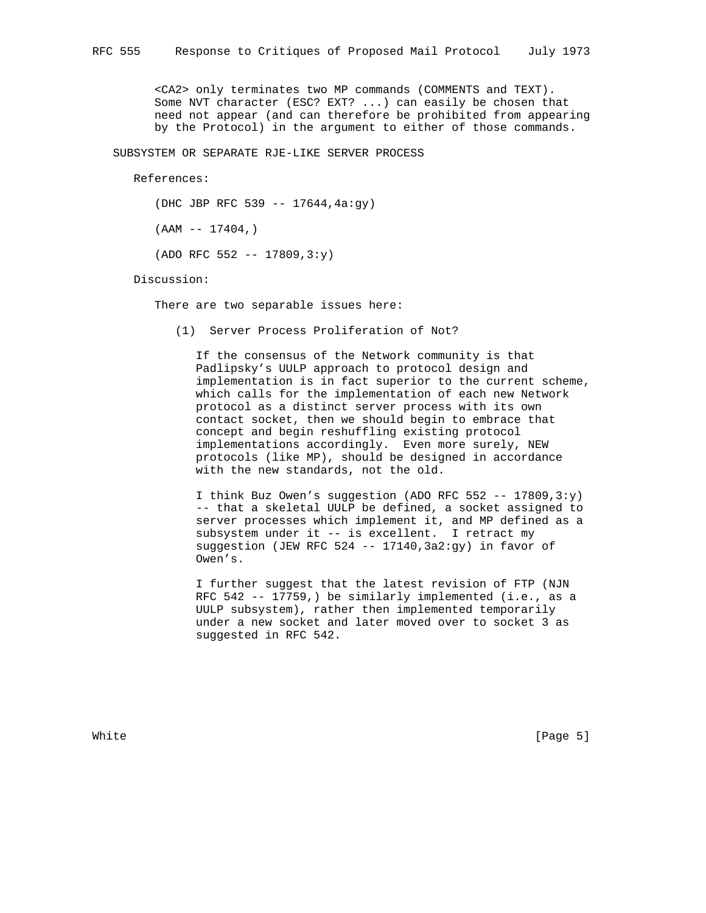<CA2> only terminates two MP commands (COMMENTS and TEXT). Some NVT character (ESC? EXT? ...) can easily be chosen that need not appear (and can therefore be prohibited from appearing by the Protocol) in the argument to either of those commands.

SUBSYSTEM OR SEPARATE RJE-LIKE SERVER PROCESS

References:

(DHC JBP RFC 539 -- 17644,4a:gy)

 $(AAM -- 17404, )$ 

 $(ADO$  RFC 552 -- 17809,3:y)

Discussion:

There are two separable issues here:

(1) Server Process Proliferation of Not?

 If the consensus of the Network community is that Padlipsky's UULP approach to protocol design and implementation is in fact superior to the current scheme, which calls for the implementation of each new Network protocol as a distinct server process with its own contact socket, then we should begin to embrace that concept and begin reshuffling existing protocol implementations accordingly. Even more surely, NEW protocols (like MP), should be designed in accordance with the new standards, not the old.

I think Buz Owen's suggestion (ADO RFC 552 -- 17809,3:y) -- that a skeletal UULP be defined, a socket assigned to server processes which implement it, and MP defined as a subsystem under it -- is excellent. I retract my suggestion (JEW RFC 524 -- 17140,3a2:gy) in favor of Owen's.

 I further suggest that the latest revision of FTP (NJN RFC 542 -- 17759,) be similarly implemented (i.e., as a UULP subsystem), rather then implemented temporarily under a new socket and later moved over to socket 3 as suggested in RFC 542.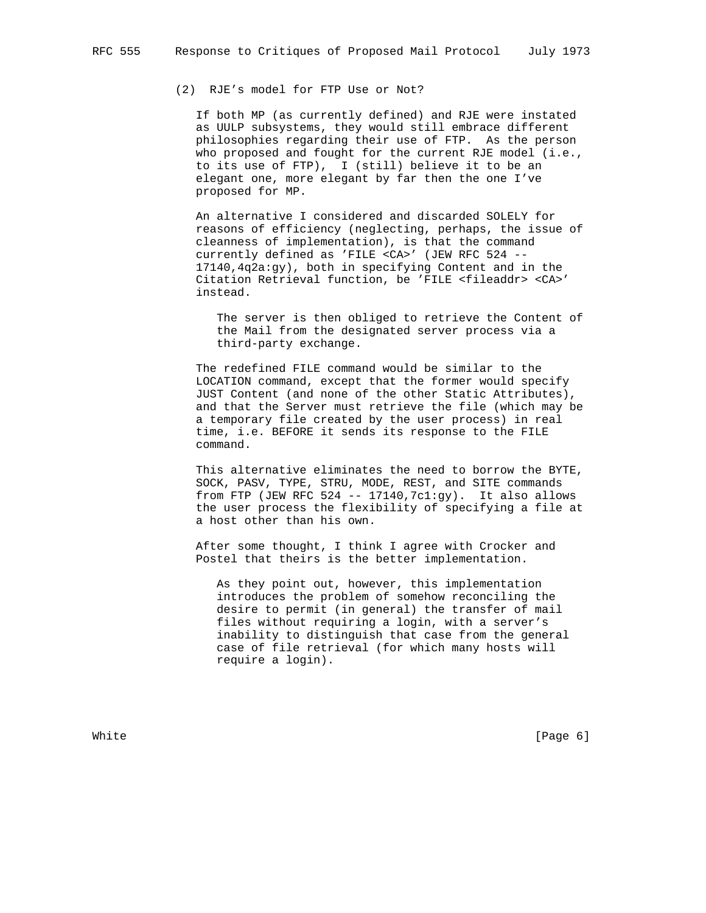# (2) RJE's model for FTP Use or Not?

 If both MP (as currently defined) and RJE were instated as UULP subsystems, they would still embrace different philosophies regarding their use of FTP. As the person who proposed and fought for the current RJE model (i.e., to its use of FTP), I (still) believe it to be an elegant one, more elegant by far then the one I've proposed for MP.

 An alternative I considered and discarded SOLELY for reasons of efficiency (neglecting, perhaps, the issue of cleanness of implementation), is that the command currently defined as 'FILE <CA>' (JEW RFC 524 -- 17140,4q2a:gy), both in specifying Content and in the Citation Retrieval function, be 'FILE <fileaddr> <CA>' instead.

 The server is then obliged to retrieve the Content of the Mail from the designated server process via a third-party exchange.

 The redefined FILE command would be similar to the LOCATION command, except that the former would specify JUST Content (and none of the other Static Attributes), and that the Server must retrieve the file (which may be a temporary file created by the user process) in real time, i.e. BEFORE it sends its response to the FILE command.

 This alternative eliminates the need to borrow the BYTE, SOCK, PASV, TYPE, STRU, MODE, REST, and SITE commands from FTP (JEW RFC 524 -- 17140,  $7c1:gy$ ). It also allows the user process the flexibility of specifying a file at a host other than his own.

 After some thought, I think I agree with Crocker and Postel that theirs is the better implementation.

 As they point out, however, this implementation introduces the problem of somehow reconciling the desire to permit (in general) the transfer of mail files without requiring a login, with a server's inability to distinguish that case from the general case of file retrieval (for which many hosts will require a login).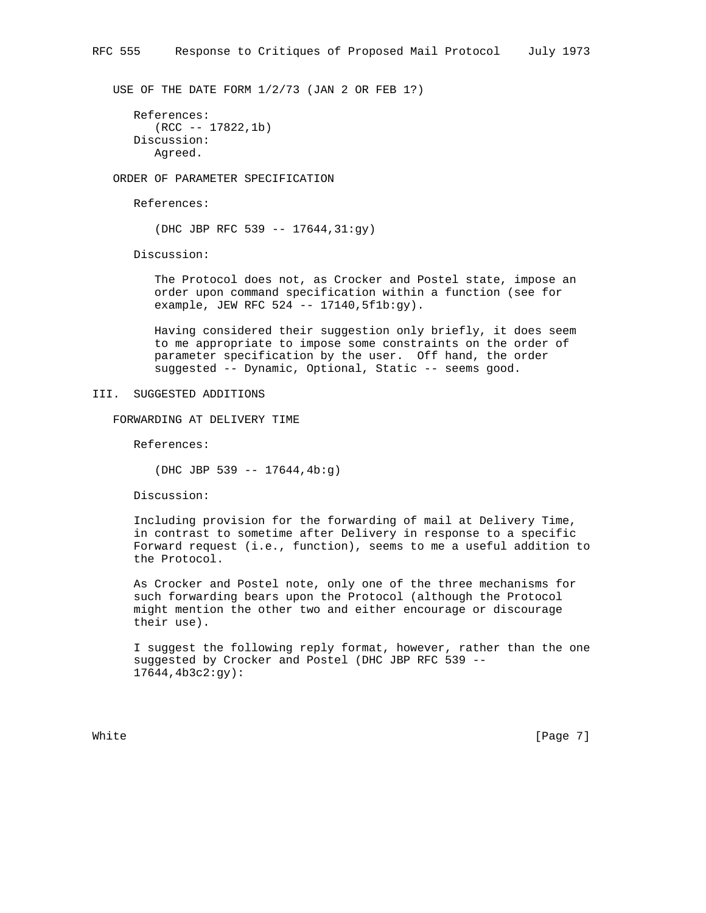USE OF THE DATE FORM 1/2/73 (JAN 2 OR FEB 1?)

```
 References:
   (RCC -- 17822,1b)
Discussion:
   Agreed.
```
ORDER OF PARAMETER SPECIFICATION

References:

(DHC JBP RFC 539 -- 17644,31:gy)

Discussion:

 The Protocol does not, as Crocker and Postel state, impose an order upon command specification within a function (see for example, JEW RFC 524 -- 17140,5f1b:gy).

 Having considered their suggestion only briefly, it does seem to me appropriate to impose some constraints on the order of parameter specification by the user. Off hand, the order suggested -- Dynamic, Optional, Static -- seems good.

### III. SUGGESTED ADDITIONS

FORWARDING AT DELIVERY TIME

References:

(DHC JBP 539 -- 17644,4b:g)

Discussion:

 Including provision for the forwarding of mail at Delivery Time, in contrast to sometime after Delivery in response to a specific Forward request (i.e., function), seems to me a useful addition to the Protocol.

 As Crocker and Postel note, only one of the three mechanisms for such forwarding bears upon the Protocol (although the Protocol might mention the other two and either encourage or discourage their use).

 I suggest the following reply format, however, rather than the one suggested by Crocker and Postel (DHC JBP RFC 539 -- 17644,4b3c2:gy):

White [Page 7]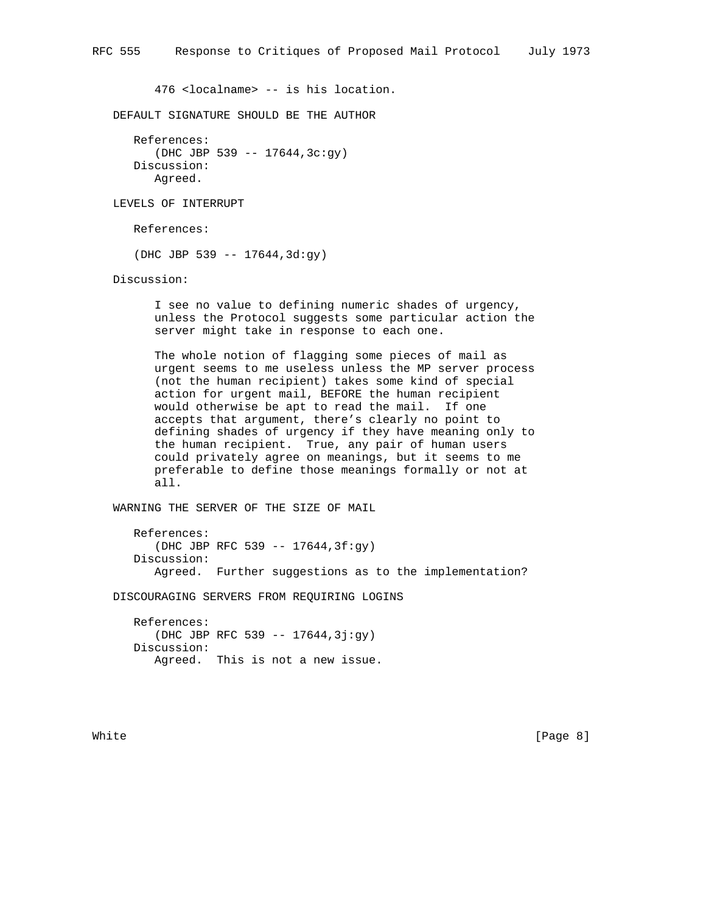476 <localname> -- is his location.

DEFAULT SIGNATURE SHOULD BE THE AUTHOR

```
 References:
   (DHC JBP 539 -- 17644,3c:gy)
Discussion:
   Agreed.
```
LEVELS OF INTERRUPT

References:

(DHC JBP 539 -- 17644,3d:gy)

Discussion:

 I see no value to defining numeric shades of urgency, unless the Protocol suggests some particular action the server might take in response to each one.

 The whole notion of flagging some pieces of mail as urgent seems to me useless unless the MP server process (not the human recipient) takes some kind of special action for urgent mail, BEFORE the human recipient would otherwise be apt to read the mail. If one accepts that argument, there's clearly no point to defining shades of urgency if they have meaning only to the human recipient. True, any pair of human users could privately agree on meanings, but it seems to me preferable to define those meanings formally or not at all.

WARNING THE SERVER OF THE SIZE OF MAIL

 References: (DHC JBP RFC 539 -- 17644,3f:gy) Discussion: Agreed. Further suggestions as to the implementation?

DISCOURAGING SERVERS FROM REQUIRING LOGINS

 References: (DHC JBP RFC 539 -- 17644,3j:gy) Discussion: Agreed. This is not a new issue.

White [Page 8]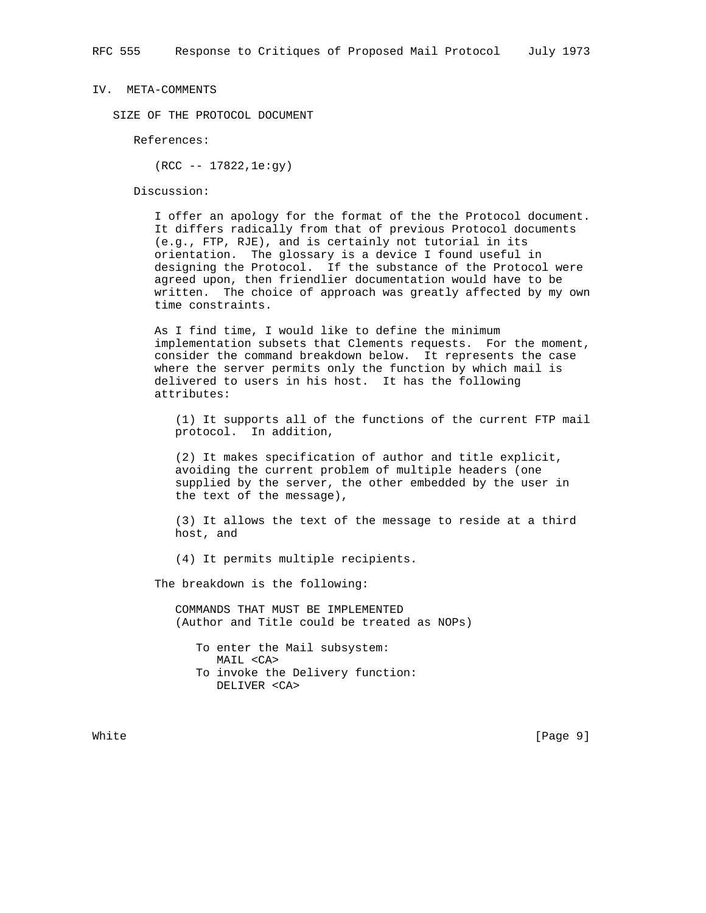#### IV. META-COMMENTS

SIZE OF THE PROTOCOL DOCUMENT

References:

(RCC -- 17822,1e:gy)

Discussion:

 I offer an apology for the format of the the Protocol document. It differs radically from that of previous Protocol documents (e.g., FTP, RJE), and is certainly not tutorial in its orientation. The glossary is a device I found useful in designing the Protocol. If the substance of the Protocol were agreed upon, then friendlier documentation would have to be written. The choice of approach was greatly affected by my own time constraints.

 As I find time, I would like to define the minimum implementation subsets that Clements requests. For the moment, consider the command breakdown below. It represents the case where the server permits only the function by which mail is delivered to users in his host. It has the following attributes:

 (1) It supports all of the functions of the current FTP mail protocol. In addition,

 (2) It makes specification of author and title explicit, avoiding the current problem of multiple headers (one supplied by the server, the other embedded by the user in the text of the message),

 (3) It allows the text of the message to reside at a third host, and

(4) It permits multiple recipients.

The breakdown is the following:

 COMMANDS THAT MUST BE IMPLEMENTED (Author and Title could be treated as NOPs)

 To enter the Mail subsystem: MAIL <CA> To invoke the Delivery function: DELIVER <CA>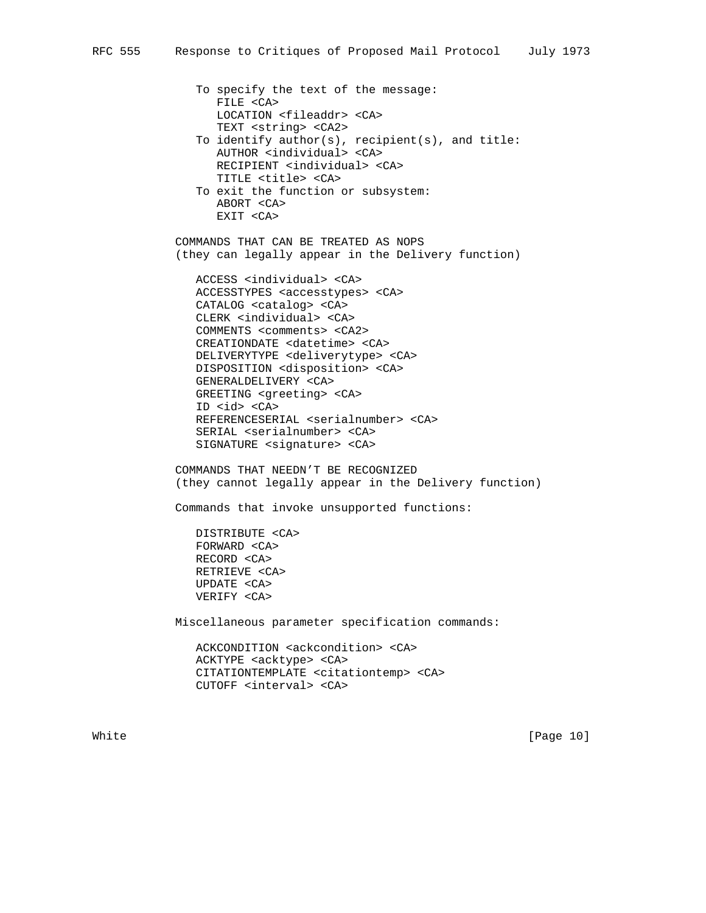To specify the text of the message: FILE <CA> LOCATION <fileaddr> <CA> TEXT <string> <CA2> To identify author(s), recipient(s), and title: AUTHOR <individual> <CA> RECIPIENT <individual> <CA> TITLE <title> <CA> To exit the function or subsystem: ABORT <CA> EXIT <CA>

 COMMANDS THAT CAN BE TREATED AS NOPS (they can legally appear in the Delivery function)

 ACCESS <individual> <CA> ACCESSTYPES <accesstypes> <CA> CATALOG <catalog> <CA> CLERK <individual> <CA> COMMENTS <comments> <CA2> CREATIONDATE <datetime> <CA> DELIVERYTYPE <deliverytype> <CA> DISPOSITION <disposition> <CA> GENERALDELIVERY <CA> GREETING <greeting> <CA> ID <id> <CA> REFERENCESERIAL <serialnumber> <CA> SERIAL <serialnumber> <CA> SIGNATURE <signature> <CA>

 COMMANDS THAT NEEDN'T BE RECOGNIZED (they cannot legally appear in the Delivery function)

Commands that invoke unsupported functions:

 DISTRIBUTE <CA> FORWARD <CA> RECORD <CA> RETRIEVE <CA> UPDATE <CA> VERIFY <CA>

Miscellaneous parameter specification commands:

 ACKCONDITION <ackcondition> <CA> ACKTYPE <acktype> <CA> CITATIONTEMPLATE <citationtemp> <CA> CUTOFF <interval> <CA>

White [Page 10]